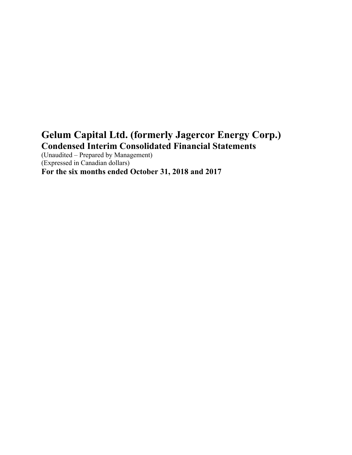# **Gelum Capital Ltd. (formerly Jagercor Energy Corp.) Condensed Interim Consolidated Financial Statements**

(Unaudited – Prepared by Management) (Expressed in Canadian dollars) **For the six months ended October 31, 2018 and 2017**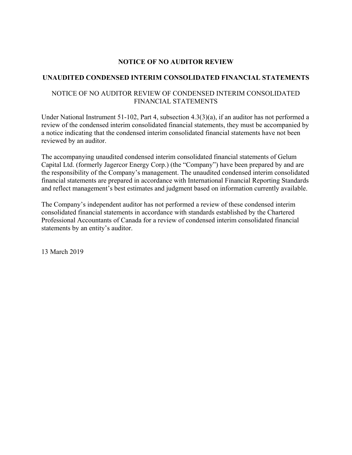## **NOTICE OF NO AUDITOR REVIEW**

## **UNAUDITED CONDENSED INTERIM CONSOLIDATED FINANCIAL STATEMENTS**

## NOTICE OF NO AUDITOR REVIEW OF CONDENSED INTERIM CONSOLIDATED FINANCIAL STATEMENTS

Under National Instrument 51-102, Part 4, subsection 4.3(3)(a), if an auditor has not performed a review of the condensed interim consolidated financial statements, they must be accompanied by a notice indicating that the condensed interim consolidated financial statements have not been reviewed by an auditor.

The accompanying unaudited condensed interim consolidated financial statements of Gelum Capital Ltd. (formerly Jagercor Energy Corp.) (the "Company") have been prepared by and are the responsibility of the Company's management. The unaudited condensed interim consolidated financial statements are prepared in accordance with International Financial Reporting Standards and reflect management's best estimates and judgment based on information currently available.

The Company's independent auditor has not performed a review of these condensed interim consolidated financial statements in accordance with standards established by the Chartered Professional Accountants of Canada for a review of condensed interim consolidated financial statements by an entity's auditor.

13 March 2019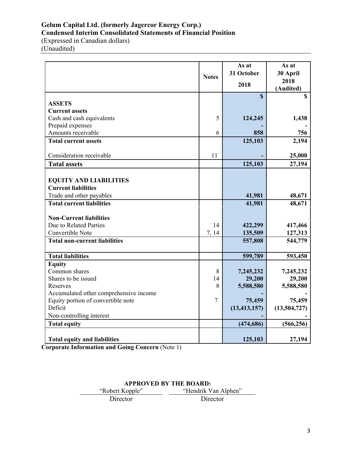## **Gelum Capital Ltd. (formerly Jagercor Energy Corp.) Condensed Interim Consolidated Statements of Financial Position**

(Expressed in Canadian dollars) (Unaudited)

|                                        | <b>Notes</b> | As at<br>31 October<br>2018 | As at<br>30 April<br>2018<br>(Audited) |
|----------------------------------------|--------------|-----------------------------|----------------------------------------|
| <b>ASSETS</b>                          |              | $\mathbf S$                 | $\mathbf S$                            |
| <b>Current assets</b>                  |              |                             |                                        |
| Cash and cash equivalents              | 5            | 124,245                     | 1,438                                  |
| Prepaid expenses                       |              |                             |                                        |
| Amounts receivable                     | 6            | 858                         | 756                                    |
| <b>Total current assets</b>            |              | 125,103                     | 2,194                                  |
|                                        |              |                             |                                        |
| Consideration receivable               | 11           |                             | 25,000                                 |
| <b>Total assets</b>                    |              | 125,103                     | 27,194                                 |
|                                        |              |                             |                                        |
| <b>EQUITY AND LIABILITIES</b>          |              |                             |                                        |
| <b>Current liabilities</b>             |              |                             |                                        |
| Trade and other payables               |              | 41,981                      | 48,671                                 |
| <b>Total current liabilities</b>       |              | 41,981                      | 48,671                                 |
|                                        |              |                             |                                        |
| <b>Non-Current liabilities</b>         |              |                             |                                        |
| Due to Related Parties                 | 14           | 422,299                     | 417,466                                |
| Convertible Note                       | 7, 14        | 135,509                     | 127,313                                |
| <b>Total non-current liabilities</b>   |              | 557,808                     | 544,779                                |
| <b>Total liabilities</b>               |              | 599,789                     | 593,450                                |
| <b>Equity</b>                          |              |                             |                                        |
| Common shares                          | 8            | 7,245,232                   | 7,245,232                              |
| Shares to be issued                    | 14           | 29,200                      | 29,200                                 |
| Reserves                               | 8            | 5,588,580                   | 5,588,580                              |
| Accumulated other comprehensive income |              |                             |                                        |
| Equity portion of convertible note     | 7            | 75,459                      | 75,459                                 |
| Deficit                                |              | (13, 413, 157)              | (13,504,727)                           |
| Non-controlling interest               |              |                             |                                        |
| <b>Total equity</b>                    |              | (474, 686)                  | (566, 256)                             |
|                                        |              |                             |                                        |
| <b>Total equity and liabilities</b>    |              | 125,103                     | 27,194                                 |

**Corporate Information and Going Concern** (Note 1)

| <b>APPROVED BY THE BOARD:</b>           |          |  |  |  |
|-----------------------------------------|----------|--|--|--|
| "Hendrik Van Alphen"<br>"Robert Kopple" |          |  |  |  |
| Director                                | Director |  |  |  |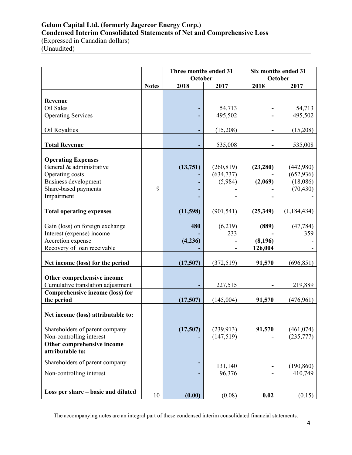## **Gelum Capital Ltd. (formerly Jagercor Energy Corp.) Condensed Interim Consolidated Statements of Net and Comprehensive Loss**

(Expressed in Canadian dollars) (Unaudited)

|                                                       |              | Three months ended 31<br>October |                          |           | Six months ended 31<br>October |
|-------------------------------------------------------|--------------|----------------------------------|--------------------------|-----------|--------------------------------|
|                                                       | <b>Notes</b> | 2018                             | 2017                     | 2018      | 2017                           |
|                                                       |              |                                  |                          |           |                                |
| Revenue                                               |              |                                  |                          |           |                                |
| Oil Sales                                             |              |                                  | 54,713                   |           | 54,713                         |
| <b>Operating Services</b>                             |              |                                  | 495,502                  |           | 495,502                        |
| Oil Royalties                                         |              |                                  | (15,208)                 |           | (15,208)                       |
| <b>Total Revenue</b>                                  |              |                                  | 535,008                  |           | 535,008                        |
|                                                       |              |                                  |                          |           |                                |
| <b>Operating Expenses</b><br>General & administrative |              | (13,751)                         |                          |           |                                |
| Operating costs                                       |              |                                  | (260, 819)<br>(634, 737) | (23, 280) | (442,980)<br>(652, 936)        |
| <b>Business development</b>                           |              |                                  | (5,984)                  | (2,069)   | (18,086)                       |
| Share-based payments                                  | 9            |                                  |                          |           | (70, 430)                      |
| Impairment                                            |              |                                  |                          |           |                                |
|                                                       |              |                                  |                          |           |                                |
| <b>Total operating expenses</b>                       |              | (11,598)                         | (901, 541)               | (25,349)  | (1, 184, 434)                  |
| Gain (loss) on foreign exchange                       |              | 480                              | (6,219)                  | (889)     | (47, 784)                      |
| Interest (expense) income                             |              |                                  | 233                      |           | 359                            |
| Accretion expense                                     |              | (4,236)                          |                          | (8,196)   |                                |
| Recovery of loan receivable                           |              |                                  |                          | 126,004   |                                |
|                                                       |              |                                  |                          |           |                                |
| Net income (loss) for the period                      |              | (17,507)                         | (372, 519)               | 91,570    | (696, 851)                     |
| Other comprehensive income                            |              |                                  |                          |           |                                |
| Cumulative translation adjustment                     |              |                                  | 227,515                  |           | 219,889                        |
| Comprehensive income (loss) for                       |              |                                  |                          |           |                                |
| the period                                            |              | (17,507)                         | (145,004)                | 91,570    | (476,961)                      |
|                                                       |              |                                  |                          |           |                                |
| Net income (loss) attributable to:                    |              |                                  |                          |           |                                |
| Shareholders of parent company                        |              | (17,507)                         | (239, 913)               | 91,570    | (461, 074)                     |
| Non-controlling interest                              |              |                                  | (147, 519)               |           | (235, 777)                     |
| Other comprehensive income                            |              |                                  |                          |           |                                |
| attributable to:                                      |              |                                  |                          |           |                                |
| Shareholders of parent company                        |              |                                  |                          |           |                                |
| Non-controlling interest                              |              |                                  | 131,140<br>96,376        |           | (190, 860)                     |
|                                                       |              |                                  |                          |           | 410,749                        |
|                                                       |              |                                  |                          |           |                                |
| Loss per share – basic and diluted                    | 10           | (0.00)                           | (0.08)                   | 0.02      | (0.15)                         |

The accompanying notes are an integral part of these condensed interim consolidated financial statements.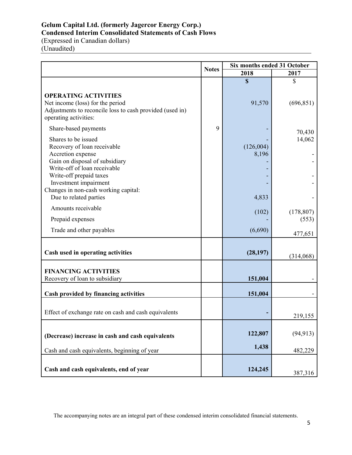## **Gelum Capital Ltd. (formerly Jagercor Energy Corp.) Condensed Interim Consolidated Statements of Cash Flows**

(Expressed in Canadian dollars) (Unaudited)

|                                                                                                                                                                                                                                                                 | <b>Notes</b> | Six months ended 31 October |            |
|-----------------------------------------------------------------------------------------------------------------------------------------------------------------------------------------------------------------------------------------------------------------|--------------|-----------------------------|------------|
|                                                                                                                                                                                                                                                                 |              | 2018                        | 2017       |
|                                                                                                                                                                                                                                                                 |              | $\mathbf S$                 | \$         |
| <b>OPERATING ACTIVITIES</b><br>Net income (loss) for the period<br>Adjustments to reconcile loss to cash provided (used in)<br>operating activities:                                                                                                            |              | 91,570                      | (696, 851) |
| Share-based payments                                                                                                                                                                                                                                            | 9            |                             | 70,430     |
| Shares to be issued<br>Recovery of loan receivable<br>Accretion expense<br>Gain on disposal of subsidiary<br>Write-off of loan receivable<br>Write-off prepaid taxes<br>Investment impairment<br>Changes in non-cash working capital:<br>Due to related parties |              | (126,004)<br>8,196<br>4,833 | 14,062     |
| Amounts receivable                                                                                                                                                                                                                                              |              | (102)                       | (178, 807) |
| Prepaid expenses                                                                                                                                                                                                                                                |              |                             | (553)      |
| Trade and other payables                                                                                                                                                                                                                                        |              | (6,690)                     | 477,651    |
| Cash used in operating activities                                                                                                                                                                                                                               |              | (28, 197)                   | (314,068)  |
| <b>FINANCING ACTIVITIES</b><br>Recovery of loan to subsidiary                                                                                                                                                                                                   |              | 151,004                     |            |
| Cash provided by financing activities                                                                                                                                                                                                                           |              | 151,004                     |            |
| Effect of exchange rate on cash and cash equivalents                                                                                                                                                                                                            |              |                             | 219,155    |
| (Decrease) increase in cash and cash equivalents                                                                                                                                                                                                                |              | 122,807<br>1,438            | (94, 913)  |
| Cash and cash equivalents, beginning of year                                                                                                                                                                                                                    |              |                             | 482,229    |
| Cash and cash equivalents, end of year                                                                                                                                                                                                                          |              | 124,245                     | 387,316    |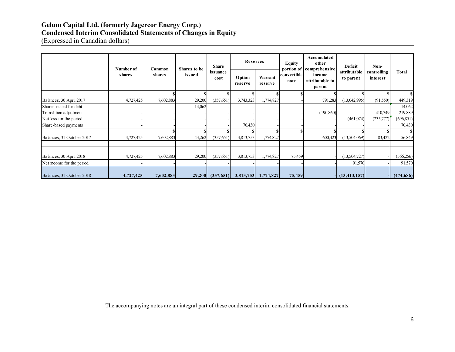## **Gelum Capital Ltd. (formerly Jagercor Energy Corp.)**

## **Condensed Interim Consolidated Statements of Changes in Equity**

(Expressed in Canadian dollars)

|                           | Number of     | Common    | Shares to be | Share                |           | <b>Reserves</b><br>Warrant<br>Option<br>reserve<br>reserve | <b>Equity</b> | <b>Accumulated</b><br>other<br>portion of comprehensive | Deficit              | Non-                                |                           |                         |
|---------------------------|---------------|-----------|--------------|----------------------|-----------|------------------------------------------------------------|---------------|---------------------------------------------------------|----------------------|-------------------------------------|---------------------------|-------------------------|
|                           | <b>shares</b> | shares    | issued       | issuance<br>cost     |           |                                                            |               | convertible<br>note                                     |                      | income<br>attributable to<br>parent | attributable<br>to parent | controlling<br>interest |
|                           |               |           |              |                      |           |                                                            |               |                                                         |                      |                                     |                           |                         |
| Balances, 30 April 2017   | 4,727,425     | 7,602,883 | 29,200       | (357, 651)           | 3,743,323 | 1,774,827                                                  |               | 791,283                                                 | (13,042,995)         | (91,550)                            | 449,319                   |                         |
| Shares issued for debt    |               |           | 14,062       |                      |           |                                                            |               |                                                         |                      |                                     | 14,062                    |                         |
| Translation adjustment    |               |           |              |                      |           |                                                            |               | (190, 860)                                              |                      | 410,749                             | 219,889                   |                         |
| Net loss for the period   |               |           |              |                      |           |                                                            |               |                                                         | (461,074)            | (235,777)                           | (696, 851)                |                         |
| Share-based payments      |               |           |              |                      | 70,430    |                                                            |               |                                                         |                      |                                     | 70,430                    |                         |
|                           |               |           |              |                      |           |                                                            |               |                                                         |                      |                                     |                           |                         |
| Balances, 31 October 2017 | 4,727,425     | 7,602,883 | 43,262       | (357, 651)           | 3,813,753 | 1,774,827                                                  |               | 600,423                                                 | (13,504,069)         | 83,422                              | 56,849                    |                         |
|                           |               |           |              |                      |           |                                                            |               |                                                         |                      |                                     |                           |                         |
| Balances, 30 April 2018   | 4,727,425     | 7,602,883 | 29,200       | (357,651)            | 3,813,753 | 1,774,827                                                  | 75,459        |                                                         | (13,504,727)         |                                     | (566, 256)                |                         |
| Net income for the period |               |           |              |                      |           |                                                            |               |                                                         | 91,570               |                                     | 91,570                    |                         |
| Balances, 31 October 2018 | 4,727,425     | 7,602,883 |              | $29,200$ $(357,651)$ |           | 3,813,753 1,774,827                                        | 75,459        |                                                         | $\vert$ (13,413,157) |                                     | (474, 686)                |                         |

The accompanying notes are an integral part of these condensed interim consolidated financial statements.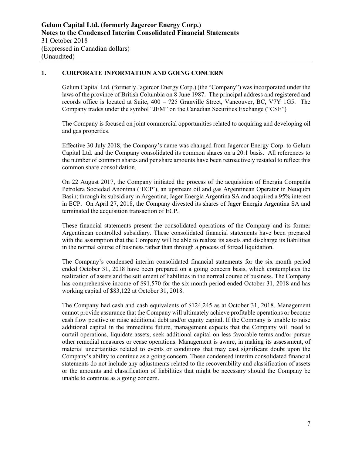## **1. CORPORATE INFORMATION AND GOING CONCERN**

Gelum Capital Ltd. (formerly Jagercor Energy Corp.) (the "Company") was incorporated under the laws of the province of British Columbia on 8 June 1987. The principal address and registered and records office is located at Suite, 400 – 725 Granville Street, Vancouver, BC, V7Y 1G5. The Company trades under the symbol "JEM" on the Canadian Securities Exchange ("CSE")

The Company is focused on joint commercial opportunities related to acquiring and developing oil and gas properties.

Effective 30 July 2018, the Company's name was changed from Jagercor Energy Corp. to Gelum Capital Ltd. and the Company consolidated its common shares on a 20:1 basis. All references to the number of common shares and per share amounts have been retroactively restated to reflect this common share consolidation.

On 22 August 2017, the Company initiated the process of the acquisition of Energia Compañía Petrolera Sociedad Anónima ('ECP'), an upstream oil and gas Argentinean Operator in Neuquén Basin; through its subsidiary in Argentina, Jager Energia Argentina SA and acquired a 95% interest in ECP. On April 27, 2018, the Company divested its shares of Jager Energia Argentina SA and terminated the acquisition transaction of ECP.

These financial statements present the consolidated operations of the Company and its former Argentinean controlled subsidiary. These consolidated financial statements have been prepared with the assumption that the Company will be able to realize its assets and discharge its liabilities in the normal course of business rather than through a process of forced liquidation.

The Company's condensed interim consolidated financial statements for the six month period ended October 31, 2018 have been prepared on a going concern basis, which contemplates the realization of assets and the settlement of liabilities in the normal course of business. The Company has comprehensive income of \$91,570 for the six month period ended October 31, 2018 and has working capital of \$83,122 at October 31, 2018.

The Company had cash and cash equivalents of \$124,245 as at October 31, 2018. Management cannot provide assurance that the Company will ultimately achieve profitable operations or become cash flow positive or raise additional debt and/or equity capital. If the Company is unable to raise additional capital in the immediate future, management expects that the Company will need to curtail operations, liquidate assets, seek additional capital on less favorable terms and/or pursue other remedial measures or cease operations. Management is aware, in making its assessment, of material uncertainties related to events or conditions that may cast significant doubt upon the Company's ability to continue as a going concern. These condensed interim consolidated financial statements do not include any adjustments related to the recoverability and classification of assets or the amounts and classification of liabilities that might be necessary should the Company be unable to continue as a going concern.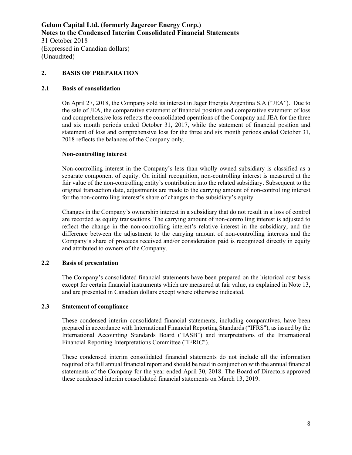#### **2. BASIS OF PREPARATION**

#### **2.1 Basis of consolidation**

On April 27, 2018, the Company sold its interest in Jager Energía Argentina S.A ("JEA"). Due to the sale of JEA, the comparative statement of financial position and comparative statement of loss and comprehensive loss reflects the consolidated operations of the Company and JEA for the three and six month periods ended October 31, 2017, while the statement of financial position and statement of loss and comprehensive loss for the three and six month periods ended October 31, 2018 reflects the balances of the Company only.

#### **Non-controlling interest**

Non-controlling interest in the Company's less than wholly owned subsidiary is classified as a separate component of equity. On initial recognition, non-controlling interest is measured at the fair value of the non-controlling entity's contribution into the related subsidiary. Subsequent to the original transaction date, adjustments are made to the carrying amount of non-controlling interest for the non-controlling interest's share of changes to the subsidiary's equity.

Changes in the Company's ownership interest in a subsidiary that do not result in a loss of control are recorded as equity transactions. The carrying amount of non-controlling interest is adjusted to reflect the change in the non-controlling interest's relative interest in the subsidiary, and the difference between the adjustment to the carrying amount of non-controlling interests and the Company's share of proceeds received and/or consideration paid is recognized directly in equity and attributed to owners of the Company.

#### **2.2 Basis of presentation**

The Company's consolidated financial statements have been prepared on the historical cost basis except for certain financial instruments which are measured at fair value, as explained in Note 13, and are presented in Canadian dollars except where otherwise indicated.

#### **2.3 Statement of compliance**

These condensed interim consolidated financial statements, including comparatives, have been prepared in accordance with International Financial Reporting Standards ("IFRS"), as issued by the International Accounting Standards Board ("IASB") and interpretations of the International Financial Reporting Interpretations Committee ("IFRIC").

These condensed interim consolidated financial statements do not include all the information required of a full annual financial report and should be read in conjunction with the annual financial statements of the Company for the year ended April 30, 2018. The Board of Directors approved these condensed interim consolidated financial statements on March 13, 2019.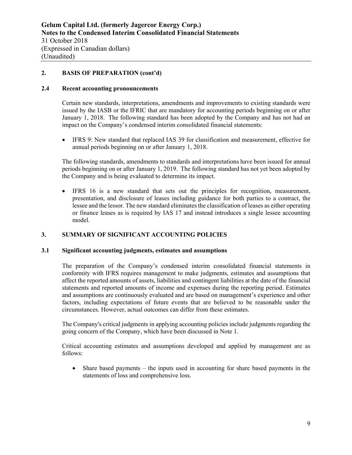## **2. BASIS OF PREPARATION (cont'd)**

#### **2.4 Recent accounting pronouncements**

Certain new standards, interpretations, amendments and improvements to existing standards were issued by the IASB or the IFRIC that are mandatory for accounting periods beginning on or after January 1, 2018. The following standard has been adopted by the Company and has not had an impact on the Company's condensed interim consolidated financial statements:

 IFRS 9: New standard that replaced IAS 39 for classification and measurement, effective for annual periods beginning on or after January 1, 2018.

The following standards, amendments to standards and interpretations have been issued for annual periods beginning on or after January 1, 2019. The following standard has not yet been adopted by the Company and is being evaluated to determine its impact.

 IFRS 16 is a new standard that sets out the principles for recognition, measurement, presentation, and disclosure of leases including guidance for both parties to a contract, the lessee and the lessor. The new standard eliminates the classification of leases as either operating or finance leases as is required by IAS 17 and instead introduces a single lessee accounting model.

#### **3. SUMMARY OF SIGNIFICANT ACCOUNTING POLICIES**

#### **3.1 Significant accounting judgments, estimates and assumptions**

The preparation of the Company's condensed interim consolidated financial statements in conformity with IFRS requires management to make judgments, estimates and assumptions that affect the reported amounts of assets, liabilities and contingent liabilities at the date of the financial statements and reported amounts of income and expenses during the reporting period. Estimates and assumptions are continuously evaluated and are based on management's experience and other factors, including expectations of future events that are believed to be reasonable under the circumstances. However, actual outcomes can differ from these estimates.

The Company's critical judgments in applying accounting policies include judgments regarding the going concern of the Company, which have been discussed in Note 1.

Critical accounting estimates and assumptions developed and applied by management are as follows:

 Share based payments – the inputs used in accounting for share based payments in the statements of loss and comprehensive loss.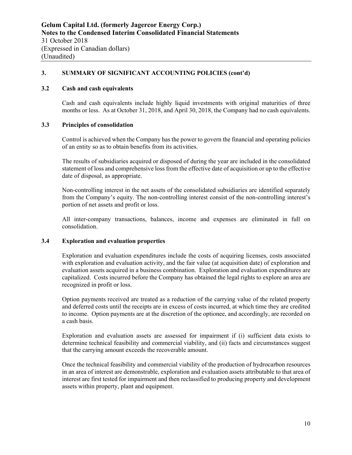#### **3.2 Cash and cash equivalents**

Cash and cash equivalents include highly liquid investments with original maturities of three months or less. As at October 31, 2018, and April 30, 2018, the Company had no cash equivalents.

#### **3.3 Principles of consolidation**

Control is achieved when the Company has the power to govern the financial and operating policies of an entity so as to obtain benefits from its activities.

The results of subsidiaries acquired or disposed of during the year are included in the consolidated statement of loss and comprehensive loss from the effective date of acquisition or up to the effective date of disposal, as appropriate.

Non-controlling interest in the net assets of the consolidated subsidiaries are identified separately from the Company's equity. The non-controlling interest consist of the non-controlling interest's portion of net assets and profit or loss.

All inter-company transactions, balances, income and expenses are eliminated in full on consolidation.

## **3.4 Exploration and evaluation properties**

Exploration and evaluation expenditures include the costs of acquiring licenses, costs associated with exploration and evaluation activity, and the fair value (at acquisition date) of exploration and evaluation assets acquired in a business combination. Exploration and evaluation expenditures are capitalized. Costs incurred before the Company has obtained the legal rights to explore an area are recognized in profit or loss.

Option payments received are treated as a reduction of the carrying value of the related property and deferred costs until the receipts are in excess of costs incurred, at which time they are credited to income. Option payments are at the discretion of the optionee, and accordingly, are recorded on a cash basis.

Exploration and evaluation assets are assessed for impairment if (i) sufficient data exists to determine technical feasibility and commercial viability, and (ii) facts and circumstances suggest that the carrying amount exceeds the recoverable amount.

Once the technical feasibility and commercial viability of the production of hydrocarbon resources in an area of interest are demonstrable, exploration and evaluation assets attributable to that area of interest are first tested for impairment and then reclassified to producing property and development assets within property, plant and equipment.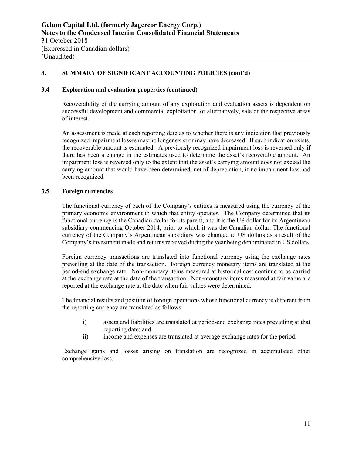#### **3.4 Exploration and evaluation properties (continued)**

Recoverability of the carrying amount of any exploration and evaluation assets is dependent on successful development and commercial exploitation, or alternatively, sale of the respective areas of interest.

An assessment is made at each reporting date as to whether there is any indication that previously recognized impairment losses may no longer exist or may have decreased. If such indication exists, the recoverable amount is estimated. A previously recognized impairment loss is reversed only if there has been a change in the estimates used to determine the asset's recoverable amount. An impairment loss is reversed only to the extent that the asset's carrying amount does not exceed the carrying amount that would have been determined, net of depreciation, if no impairment loss had been recognized.

#### **3.5 Foreign currencies**

The functional currency of each of the Company's entities is measured using the currency of the primary economic environment in which that entity operates. The Company determined that its functional currency is the Canadian dollar for its parent, and it is the US dollar for its Argentinean subsidiary commencing October 2014, prior to which it was the Canadian dollar. The functional currency of the Company's Argentinean subsidiary was changed to US dollars as a result of the Company's investment made and returns received during the year being denominated in US dollars.

Foreign currency transactions are translated into functional currency using the exchange rates prevailing at the date of the transaction. Foreign currency monetary items are translated at the period-end exchange rate. Non-monetary items measured at historical cost continue to be carried at the exchange rate at the date of the transaction. Non-monetary items measured at fair value are reported at the exchange rate at the date when fair values were determined.

The financial results and position of foreign operations whose functional currency is different from the reporting currency are translated as follows:

- i) assets and liabilities are translated at period-end exchange rates prevailing at that reporting date; and
- ii) income and expenses are translated at average exchange rates for the period.

Exchange gains and losses arising on translation are recognized in accumulated other comprehensive loss.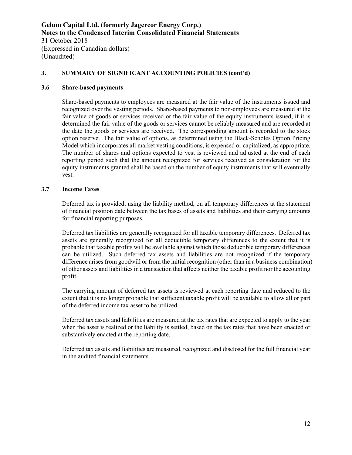#### **3.6 Share-based payments**

Share-based payments to employees are measured at the fair value of the instruments issued and recognized over the vesting periods. Share-based payments to non-employees are measured at the fair value of goods or services received or the fair value of the equity instruments issued, if it is determined the fair value of the goods or services cannot be reliably measured and are recorded at the date the goods or services are received. The corresponding amount is recorded to the stock option reserve. The fair value of options, as determined using the Black-Scholes Option Pricing Model which incorporates all market vesting conditions, is expensed or capitalized, as appropriate. The number of shares and options expected to vest is reviewed and adjusted at the end of each reporting period such that the amount recognized for services received as consideration for the equity instruments granted shall be based on the number of equity instruments that will eventually vest.

#### **3.7 Income Taxes**

Deferred tax is provided, using the liability method, on all temporary differences at the statement of financial position date between the tax bases of assets and liabilities and their carrying amounts for financial reporting purposes.

Deferred tax liabilities are generally recognized for all taxable temporary differences. Deferred tax assets are generally recognized for all deductible temporary differences to the extent that it is probable that taxable profits will be available against which those deductible temporary differences can be utilized. Such deferred tax assets and liabilities are not recognized if the temporary difference arises from goodwill or from the initial recognition (other than in a business combination) of other assets and liabilities in a transaction that affects neither the taxable profit nor the accounting profit.

The carrying amount of deferred tax assets is reviewed at each reporting date and reduced to the extent that it is no longer probable that sufficient taxable profit will be available to allow all or part of the deferred income tax asset to be utilized.

Deferred tax assets and liabilities are measured at the tax rates that are expected to apply to the year when the asset is realized or the liability is settled, based on the tax rates that have been enacted or substantively enacted at the reporting date.

Deferred tax assets and liabilities are measured, recognized and disclosed for the full financial year in the audited financial statements.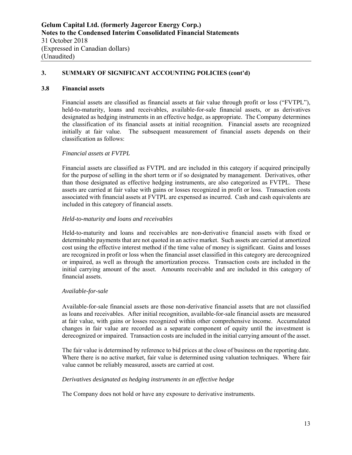#### **3.8 Financial assets**

Financial assets are classified as financial assets at fair value through profit or loss ("FVTPL"), held-to-maturity, loans and receivables, available-for-sale financial assets, or as derivatives designated as hedging instruments in an effective hedge, as appropriate. The Company determines the classification of its financial assets at initial recognition. Financial assets are recognized initially at fair value. The subsequent measurement of financial assets depends on their classification as follows:

#### *Financial assets at FVTPL*

Financial assets are classified as FVTPL and are included in this category if acquired principally for the purpose of selling in the short term or if so designated by management. Derivatives, other than those designated as effective hedging instruments, are also categorized as FVTPL. These assets are carried at fair value with gains or losses recognized in profit or loss. Transaction costs associated with financial assets at FVTPL are expensed as incurred. Cash and cash equivalents are included in this category of financial assets.

#### *Held-to-maturity and loans and receivables*

Held-to-maturity and loans and receivables are non-derivative financial assets with fixed or determinable payments that are not quoted in an active market. Such assets are carried at amortized cost using the effective interest method if the time value of money is significant. Gains and losses are recognized in profit or loss when the financial asset classified in this category are derecognized or impaired, as well as through the amortization process. Transaction costs are included in the initial carrying amount of the asset. Amounts receivable and are included in this category of financial assets.

#### *Available-for-sale*

Available-for-sale financial assets are those non-derivative financial assets that are not classified as loans and receivables. After initial recognition, available-for-sale financial assets are measured at fair value, with gains or losses recognized within other comprehensive income. Accumulated changes in fair value are recorded as a separate component of equity until the investment is derecognized or impaired. Transaction costs are included in the initial carrying amount of the asset.

The fair value is determined by reference to bid prices at the close of business on the reporting date. Where there is no active market, fair value is determined using valuation techniques. Where fair value cannot be reliably measured, assets are carried at cost.

#### *Derivatives designated as hedging instruments in an effective hedge*

The Company does not hold or have any exposure to derivative instruments.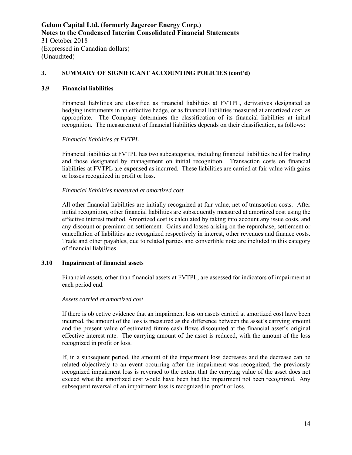#### **3.9 Financial liabilities**

Financial liabilities are classified as financial liabilities at FVTPL, derivatives designated as hedging instruments in an effective hedge, or as financial liabilities measured at amortized cost, as appropriate. The Company determines the classification of its financial liabilities at initial recognition. The measurement of financial liabilities depends on their classification, as follows:

#### *Financial liabilities at FVTPL*

Financial liabilities at FVTPL has two subcategories, including financial liabilities held for trading and those designated by management on initial recognition. Transaction costs on financial liabilities at FVTPL are expensed as incurred. These liabilities are carried at fair value with gains or losses recognized in profit or loss.

#### *Financial liabilities measured at amortized cost*

All other financial liabilities are initially recognized at fair value, net of transaction costs. After initial recognition, other financial liabilities are subsequently measured at amortized cost using the effective interest method. Amortized cost is calculated by taking into account any issue costs, and any discount or premium on settlement. Gains and losses arising on the repurchase, settlement or cancellation of liabilities are recognized respectively in interest, other revenues and finance costs. Trade and other payables, due to related parties and convertible note are included in this category of financial liabilities.

#### **3.10 Impairment of financial assets**

Financial assets, other than financial assets at FVTPL, are assessed for indicators of impairment at each period end.

#### *Assets carried at amortized cost*

If there is objective evidence that an impairment loss on assets carried at amortized cost have been incurred, the amount of the loss is measured as the difference between the asset's carrying amount and the present value of estimated future cash flows discounted at the financial asset's original effective interest rate. The carrying amount of the asset is reduced, with the amount of the loss recognized in profit or loss.

If, in a subsequent period, the amount of the impairment loss decreases and the decrease can be related objectively to an event occurring after the impairment was recognized, the previously recognized impairment loss is reversed to the extent that the carrying value of the asset does not exceed what the amortized cost would have been had the impairment not been recognized. Any subsequent reversal of an impairment loss is recognized in profit or loss.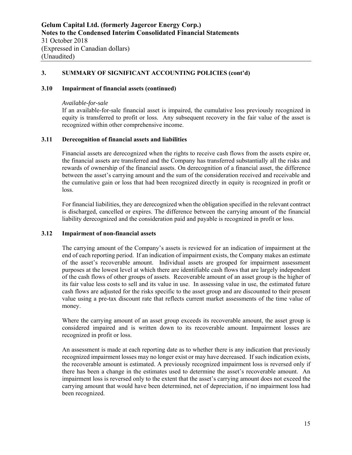#### **3.10 Impairment of financial assets (continued)**

#### *Available-for-sale*

If an available-for-sale financial asset is impaired, the cumulative loss previously recognized in equity is transferred to profit or loss. Any subsequent recovery in the fair value of the asset is recognized within other comprehensive income.

## **3.11 Derecognition of financial assets and liabilities**

Financial assets are derecognized when the rights to receive cash flows from the assets expire or, the financial assets are transferred and the Company has transferred substantially all the risks and rewards of ownership of the financial assets. On derecognition of a financial asset, the difference between the asset's carrying amount and the sum of the consideration received and receivable and the cumulative gain or loss that had been recognized directly in equity is recognized in profit or loss.

For financial liabilities, they are derecognized when the obligation specified in the relevant contract is discharged, cancelled or expires. The difference between the carrying amount of the financial liability derecognized and the consideration paid and payable is recognized in profit or loss.

#### **3.12 Impairment of non-financial assets**

The carrying amount of the Company's assets is reviewed for an indication of impairment at the end of each reporting period. If an indication of impairment exists, the Company makes an estimate of the asset's recoverable amount. Individual assets are grouped for impairment assessment purposes at the lowest level at which there are identifiable cash flows that are largely independent of the cash flows of other groups of assets. Recoverable amount of an asset group is the higher of its fair value less costs to sell and its value in use. In assessing value in use, the estimated future cash flows are adjusted for the risks specific to the asset group and are discounted to their present value using a pre-tax discount rate that reflects current market assessments of the time value of money.

Where the carrying amount of an asset group exceeds its recoverable amount, the asset group is considered impaired and is written down to its recoverable amount. Impairment losses are recognized in profit or loss.

An assessment is made at each reporting date as to whether there is any indication that previously recognized impairment losses may no longer exist or may have decreased. If such indication exists, the recoverable amount is estimated. A previously recognized impairment loss is reversed only if there has been a change in the estimates used to determine the asset's recoverable amount. An impairment loss is reversed only to the extent that the asset's carrying amount does not exceed the carrying amount that would have been determined, net of depreciation, if no impairment loss had been recognized.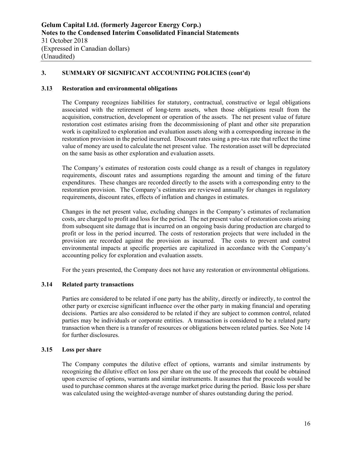#### **3.13 Restoration and environmental obligations**

The Company recognizes liabilities for statutory, contractual, constructive or legal obligations associated with the retirement of long-term assets, when those obligations result from the acquisition, construction, development or operation of the assets. The net present value of future restoration cost estimates arising from the decommissioning of plant and other site preparation work is capitalized to exploration and evaluation assets along with a corresponding increase in the restoration provision in the period incurred. Discount rates using a pre-tax rate that reflect the time value of money are used to calculate the net present value. The restoration asset will be depreciated on the same basis as other exploration and evaluation assets.

The Company's estimates of restoration costs could change as a result of changes in regulatory requirements, discount rates and assumptions regarding the amount and timing of the future expenditures. These changes are recorded directly to the assets with a corresponding entry to the restoration provision. The Company's estimates are reviewed annually for changes in regulatory requirements, discount rates, effects of inflation and changes in estimates.

Changes in the net present value, excluding changes in the Company's estimates of reclamation costs, are charged to profit and loss for the period. The net present value of restoration costs arising from subsequent site damage that is incurred on an ongoing basis during production are charged to profit or loss in the period incurred. The costs of restoration projects that were included in the provision are recorded against the provision as incurred. The costs to prevent and control environmental impacts at specific properties are capitalized in accordance with the Company's accounting policy for exploration and evaluation assets.

For the years presented, the Company does not have any restoration or environmental obligations.

#### **3.14 Related party transactions**

Parties are considered to be related if one party has the ability, directly or indirectly, to control the other party or exercise significant influence over the other party in making financial and operating decisions. Parties are also considered to be related if they are subject to common control, related parties may be individuals or corporate entities. A transaction is considered to be a related party transaction when there is a transfer of resources or obligations between related parties. See Note 14 for further disclosures.

#### **3.15 Loss per share**

The Company computes the dilutive effect of options, warrants and similar instruments by recognizing the dilutive effect on loss per share on the use of the proceeds that could be obtained upon exercise of options, warrants and similar instruments. It assumes that the proceeds would be used to purchase common shares at the average market price during the period. Basic loss per share was calculated using the weighted-average number of shares outstanding during the period.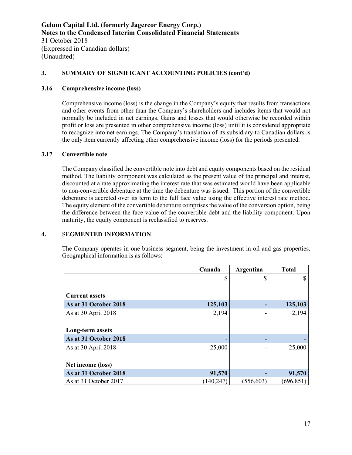#### **3.16 Comprehensive income (loss)**

Comprehensive income (loss) is the change in the Company's equity that results from transactions and other events from other than the Company's shareholders and includes items that would not normally be included in net earnings. Gains and losses that would otherwise be recorded within profit or loss are presented in other comprehensive income (loss) until it is considered appropriate to recognize into net earnings. The Company's translation of its subsidiary to Canadian dollars is the only item currently affecting other comprehensive income (loss) for the periods presented.

#### **3.17 Convertible note**

The Company classified the convertible note into debt and equity components based on the residual method. The liability component was calculated as the present value of the principal and interest, discounted at a rate approximating the interest rate that was estimated would have been applicable to non-convertible debenture at the time the debenture was issued. This portion of the convertible debenture is accreted over its term to the full face value using the effective interest rate method. The equity element of the convertible debenture comprises the value of the conversion option, being the difference between the face value of the convertible debt and the liability component. Upon maturity, the equity component is reclassified to reserves.

#### **4.** S**EGMENTED INFORMATION**

The Company operates in one business segment, being the investment in oil and gas properties. Geographical information is as follows:

|                       | Canada     | Argentina  | <b>Total</b> |
|-----------------------|------------|------------|--------------|
|                       | \$         |            |              |
|                       |            |            |              |
| <b>Current assets</b> |            |            |              |
| As at 31 October 2018 | 125,103    |            | 125,103      |
| As at 30 April 2018   | 2,194      |            | 2,194        |
|                       |            |            |              |
| Long-term assets      |            |            |              |
| As at 31 October 2018 |            |            |              |
| As at 30 April 2018   | 25,000     |            | 25,000       |
|                       |            |            |              |
| Net income (loss)     |            |            |              |
| As at 31 October 2018 | 91,570     |            | 91,570       |
| As at 31 October 2017 | (140, 247) | (556, 603) | (696, 851)   |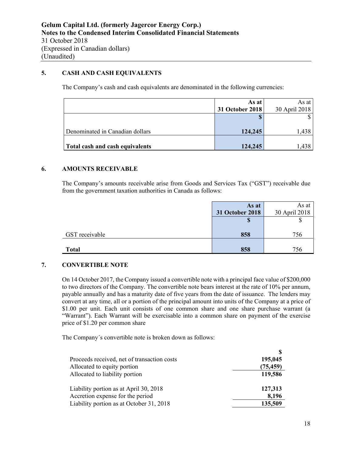## **5. CASH AND CASH EQUIVALENTS**

The Company's cash and cash equivalents are denominated in the following currencies:

|                                 | As at           | As at 1       |
|---------------------------------|-----------------|---------------|
|                                 | 31 October 2018 | 30 April 2018 |
|                                 |                 |               |
|                                 |                 |               |
| Denominated in Canadian dollars | 124,245         | 1,438         |
|                                 |                 |               |
| Total cash and cash equivalents | 124,245         | 1,438         |

#### **6. AMOUNTS RECEIVABLE**

The Company's amounts receivable arise from Goods and Services Tax ("GST") receivable due from the government taxation authorities in Canada as follows:

|                | As at           | As at         |
|----------------|-----------------|---------------|
|                | 31 October 2018 | 30 April 2018 |
|                | J               |               |
|                |                 |               |
| GST receivable | 858             | 756           |
|                |                 |               |
| <b>Total</b>   | 858             | 756           |

#### **7. CONVERTIBLE NOTE**

On 14 October 2017, the Company issued a convertible note with a principal face value of \$200,000 to two directors of the Company. The convertible note bears interest at the rate of 10% per annum, payable annually and has a maturity date of five years from the date of issuance. The lenders may convert at any time, all or a portion of the principal amount into units of the Company at a price of \$1.00 per unit. Each unit consists of one common share and one share purchase warrant (a "Warrant"). Each Warrant will be exercisable into a common share on payment of the exercise price of \$1.20 per common share

The Company´s convertible note is broken down as follows:

| Proceeds received, net of transaction costs | 195,045   |
|---------------------------------------------|-----------|
| Allocated to equity portion                 | (75, 459) |
| Allocated to liability portion              | 119,586   |
| Liability portion as at April 30, 2018      | 127,313   |
| Accretion expense for the period            | 8,196     |
| Liability portion as at October 31, 2018    | 135,509   |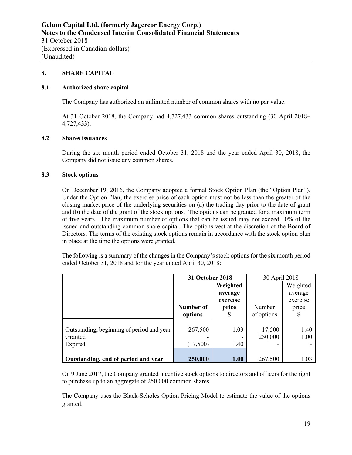#### **8. SHARE CAPITAL**

#### **8.1 Authorized share capital**

The Company has authorized an unlimited number of common shares with no par value.

At 31 October 2018, the Company had 4,727,433 common shares outstanding (30 April 2018– 4,727,433).

#### **8.2 Shares issuances**

During the six month period ended October 31, 2018 and the year ended April 30, 2018, the Company did not issue any common shares.

#### **8.3 Stock options**

On December 19, 2016, the Company adopted a formal Stock Option Plan (the "Option Plan"). Under the Option Plan, the exercise price of each option must not be less than the greater of the closing market price of the underlying securities on (a) the trading day prior to the date of grant and (b) the date of the grant of the stock options. The options can be granted for a maximum term of five years. The maximum number of options that can be issued may not exceed 10% of the issued and outstanding common share capital. The options vest at the discretion of the Board of Directors. The terms of the existing stock options remain in accordance with the stock option plan in place at the time the options were granted.

The following is a summary of the changes in the Company's stock options for the six month period ended October 31, 2018 and for the year ended April 30, 2018:

|                                           | 31 October 2018 |          | 30 April 2018 |          |
|-------------------------------------------|-----------------|----------|---------------|----------|
|                                           |                 | Weighted |               | Weighted |
|                                           |                 | average  |               | average  |
|                                           |                 | exercise |               | exercise |
|                                           | Number of       | price    | Number        | price    |
|                                           | options         | S        | of options    | S        |
|                                           |                 |          |               |          |
| Outstanding, beginning of period and year | 267,500         | 1.03     | 17,500        | 1.40     |
| Granted                                   |                 |          | 250,000       | 1.00     |
| Expired                                   | (17,500)        | 1.40     |               |          |
|                                           |                 |          |               |          |
| Outstanding, end of period and year       | 250,000         | 1.00     | 267,500       | 1.03     |

On 9 June 2017, the Company granted incentive stock options to directors and officers for the right to purchase up to an aggregate of 250,000 common shares.

The Company uses the Black-Scholes Option Pricing Model to estimate the value of the options granted.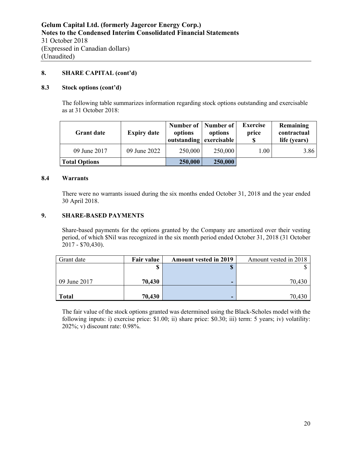### **8. SHARE CAPITAL (cont'd)**

#### **8.3 Stock options (cont'd)**

The following table summarizes information regarding stock options outstanding and exercisable as at 31 October 2018:

| <b>Grant date</b>    | <b>Expiry date</b> | Number of   Number of<br>options<br>outstanding exercisable | options | <b>Exercise</b><br>price<br>S | Remaining<br>contractual<br>life (years) |
|----------------------|--------------------|-------------------------------------------------------------|---------|-------------------------------|------------------------------------------|
| 09 June 2017         | 09 June 2022       | 250,000                                                     | 250,000 | 1.00                          | 3.86                                     |
| <b>Total Options</b> |                    | 250,000                                                     | 250,000 |                               |                                          |

#### **8.4 Warrants**

There were no warrants issued during the six months ended October 31, 2018 and the year ended 30 April 2018.

### **9. SHARE-BASED PAYMENTS**

Share-based payments for the options granted by the Company are amortized over their vesting period, of which \$Nil was recognized in the six month period ended October 31, 2018 (31 October 2017 - \$70,430).

| Grant date   | <b>Fair value</b> | <b>Amount vested in 2019</b> | Amount vested in 2018 |
|--------------|-------------------|------------------------------|-----------------------|
|              |                   |                              |                       |
|              |                   |                              |                       |
| 09 June 2017 | 70,430            |                              | 70,430                |
|              |                   |                              |                       |
| <b>Total</b> | 70,430            |                              | 70.430                |

The fair value of the stock options granted was determined using the Black-Scholes model with the following inputs: i) exercise price: \$1.00; ii) share price: \$0.30; iii) term: 5 years; iv) volatility: 202%; v) discount rate: 0.98%.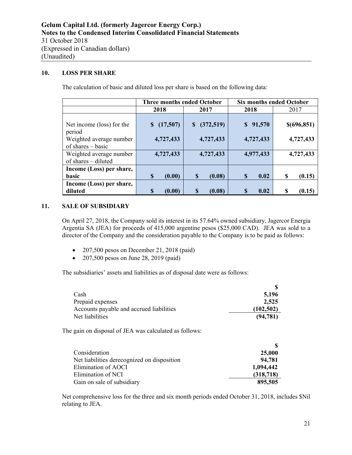## **10. LOSS PER SHARE**

The calculation of basic and diluted loss per share is based on the following data:

|                                                                                       | <b>Three months ended October</b> |                        | <b>Six months ended October</b>    |                           |
|---------------------------------------------------------------------------------------|-----------------------------------|------------------------|------------------------------------|---------------------------|
|                                                                                       | 2018                              | 2017                   | 2018                               | 2017                      |
| Net income (loss) for the<br>period<br>Weighted average number<br>of shares $-$ basic | (17,507)<br>S<br>4,727,433        | (372,519)<br>4,727,433 | 91,570<br>$\mathbf S$<br>4,727,433 | \$(696, 851)<br>4,727,433 |
| Weighted average number                                                               | 4,727,433                         | 4,727,433              | 4,977,433                          | 4,727,433                 |
| of shares - diluted                                                                   |                                   |                        |                                    |                           |
| Income (Loss) per share,                                                              |                                   |                        |                                    |                           |
| basic                                                                                 | S<br>(0.00)                       | $\mathbf S$<br>(0.08)  | \$<br>0.02                         | \$<br>(0.15)              |
| Income (Loss) per share,                                                              |                                   |                        |                                    |                           |
| diluted                                                                               | S<br>(0.00)                       | (0.08)<br>S            | 0.02<br>S                          | S<br>(0.15)               |

#### **11. SALE OF SUBSIDIARY**

On April 27, 2018, the Company sold its interest in its 57.64% owned subsidiary, Jagercor Energia Argentia SA (JEA) for proceeds of 415,000 argentine pesos (\$25,000 CAD). JEA was sold to a director of the Company and the consideration payable to the Company is to be paid as follows:

- $\bullet$  207,500 pesos on December 21, 2018 (paid)
- 207,500 pesos on June 28, 2019 (paid)

The subsidiaries' assets and liabilities as of disposal date were as follows:

| Cash                                     | 5.196      |
|------------------------------------------|------------|
| Prepaid expenses                         | 2,525      |
| Accounts payable and accrued liabilities | (102, 502) |
| Net liabilities                          | (94, 781)  |

The gain on disposal of JEA was calculated as follows:

| Consideration                               | 25,000     |
|---------------------------------------------|------------|
| Net liabilities derecognized on disposition | 94,781     |
| Elimination of AOCI                         | 1,094,442  |
| Elimination of NCI                          | (318, 718) |
| Gain on sale of subsidiary                  | 895,505    |

Net comprehensive loss for the three and six month periods ended October 31, 2018, includes \$Nil relating to JEA.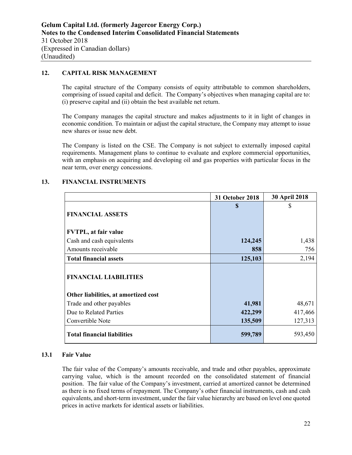## **12. CAPITAL RISK MANAGEMENT**

The capital structure of the Company consists of equity attributable to common shareholders, comprising of issued capital and deficit. The Company's objectives when managing capital are to: (i) preserve capital and (ii) obtain the best available net return.

The Company manages the capital structure and makes adjustments to it in light of changes in economic condition. To maintain or adjust the capital structure, the Company may attempt to issue new shares or issue new debt.

The Company is listed on the CSE. The Company is not subject to externally imposed capital requirements. Management plans to continue to evaluate and explore commercial opportunities, with an emphasis on acquiring and developing oil and gas properties with particular focus in the near term, over energy concessions.

|                                      | 31 October 2018 | 30 April 2018 |
|--------------------------------------|-----------------|---------------|
|                                      | S               | \$            |
| <b>FINANCIAL ASSETS</b>              |                 |               |
| <b>FVTPL, at fair value</b>          |                 |               |
| Cash and cash equivalents            | 124,245         | 1,438         |
| Amounts receivable                   | 858             | 756           |
| <b>Total financial assets</b>        | 125,103         | 2,194         |
| <b>FINANCIAL LIABILITIES</b>         |                 |               |
| Other liabilities, at amortized cost |                 |               |
| Trade and other payables             | 41,981          | 48,671        |
| Due to Related Parties               | 422,299         | 417,466       |
| Convertible Note                     | 135,509         | 127,313       |
| <b>Total financial liabilities</b>   | 599,789         | 593,450       |

#### **13. FINANCIAL INSTRUMENTS**

#### **13.1 Fair Value**

The fair value of the Company's amounts receivable, and trade and other payables, approximate carrying value, which is the amount recorded on the consolidated statement of financial position. The fair value of the Company's investment, carried at amortized cannot be determined as there is no fixed terms of repayment. The Company's other financial instruments, cash and cash equivalents, and short-term investment, under the fair value hierarchy are based on level one quoted prices in active markets for identical assets or liabilities.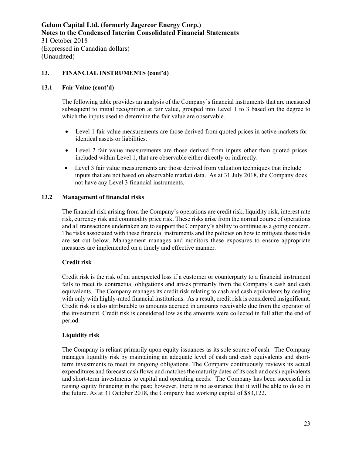#### **13. FINANCIAL INSTRUMENTS (cont'd)**

#### **13.1 Fair Value (cont'd)**

The following table provides an analysis of the Company's financial instruments that are measured subsequent to initial recognition at fair value, grouped into Level 1 to 3 based on the degree to which the inputs used to determine the fair value are observable.

- Level 1 fair value measurements are those derived from quoted prices in active markets for identical assets or liabilities.
- Level 2 fair value measurements are those derived from inputs other than quoted prices included within Level 1, that are observable either directly or indirectly.
- Level 3 fair value measurements are those derived from valuation techniques that include inputs that are not based on observable market data. As at 31 July 2018, the Company does not have any Level 3 financial instruments.

#### **13.2 Management of financial risks**

The financial risk arising from the Company's operations are credit risk, liquidity risk, interest rate risk, currency risk and commodity price risk. These risks arise from the normal course of operations and all transactions undertaken are to support the Company's ability to continue as a going concern. The risks associated with these financial instruments and the policies on how to mitigate these risks are set out below. Management manages and monitors these exposures to ensure appropriate measures are implemented on a timely and effective manner.

#### **Credit risk**

Credit risk is the risk of an unexpected loss if a customer or counterparty to a financial instrument fails to meet its contractual obligations and arises primarily from the Company's cash and cash equivalents. The Company manages its credit risk relating to cash and cash equivalents by dealing with only with highly-rated financial institutions. As a result, credit risk is considered insignificant. Credit risk is also attributable to amounts accrued in amounts receivable due from the operator of the investment. Credit risk is considered low as the amounts were collected in full after the end of period.

#### **Liquidity risk**

The Company is reliant primarily upon equity issuances as its sole source of cash. The Company manages liquidity risk by maintaining an adequate level of cash and cash equivalents and shortterm investments to meet its ongoing obligations. The Company continuously reviews its actual expenditures and forecast cash flows and matches the maturity dates of its cash and cash equivalents and short-term investments to capital and operating needs. The Company has been successful in raising equity financing in the past; however, there is no assurance that it will be able to do so in the future. As at 31 October 2018, the Company had working capital of \$83,122.